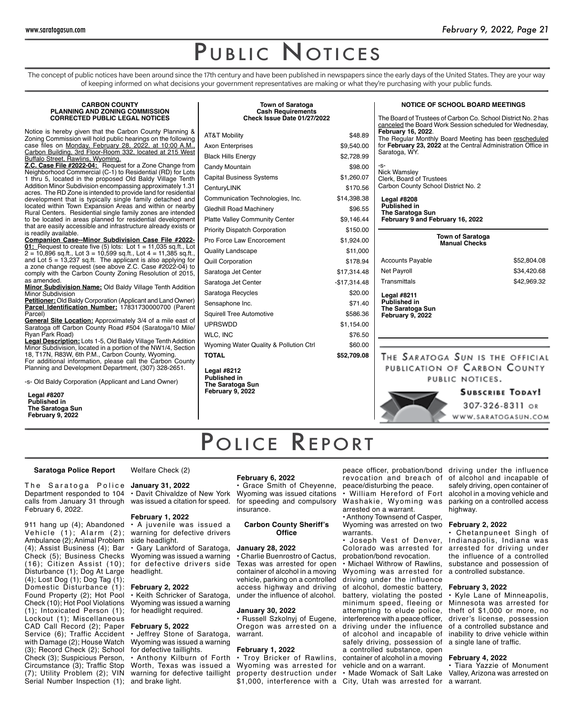The concept of public notices have been around since the 17th century and have been published in newspapers since the early days of the United States. They are your way of keeping informed on what decisions your government representatives are making or what they're purchasing with your public funds.

**Town of Saratoga**

### **CARBON COUNTY PLANNING AND ZONING COMMISSION CORRECTED PUBLIC LEGAL NOTICES**

Notice is hereby given that the Carbon County Planning & Zoning Commission will hold public hearings on the following case files on Monday, February 28, 2022, at 10:00 A.M., Carbon Building, 3rd Floor-Room 332, located at 215 West Buffalo Street, Rawlins, Wyoming.

**Z.C. Case File #2022-04:** Request for a Zone Change from Neighborhood Commercial (C-1) to Residential (RD) for Lots 1 thru 5, located in the proposed Old Baldy Village Tenth Addition Minor Subdivision encompassing approximately 1.31 acres. The RD Zone is intended to provide land for residential development that is typically single family detached and located within Town Expansion Areas and within or nearby Rural Centers. Residential single family zones are intended to be located in areas planned for residential development that are easily accessible and infrastructure already exists or is readily available.

**Companion Case--Minor Subdivision Case File #2022- 01:** Request to create five (5) lots: Lot 1 = 11,035 sq.ft., Lot  $\overline{2} = 10,896$  sq.ft., Lot  $3 = 10,599$  sq.ft., Lot  $4 = 11,385$  sq.ft., and Lot  $5 = 13,237$  sq.ft. The applicant is also applying for a zone change request (see above Z.C. Case #2022-04) to comply with the Carbon County Zoning Resolution of 2015, as amended.

**Minor Subdivision Name:** Old Baldy Village Tenth Addition Minor Subdivision

**Petitioner:** Old Baldy Corporation (Applicant and Land Owner) **Parcel Identification Number:** 17831730000700 (Parent Parcel)

**General Site Location:** Approximately 3/4 of a mile east of Saratoga off Carbon County Road #504 (Saratoga/10 Mile/ Ryan Park Road)

**Legal Description:** Lots 1-5, Old Baldy Village Tenth Addition Minor Subdivision, located in a portion of the NW1/4, Section 18, T17N, R83W, 6th P.M., Carbon County, Wyoming. For additional information, please call the Carbon County

Planning and Development Department, (307) 328-2651. -s- Old Baldy Corporation (Applicant and Land Owner)

**Legal #8207 Published in The Saratoga Sun February 9, 2022**

| <b>Cash Requirements</b><br>Check Issue Date 01/27/2022       |               |  |
|---------------------------------------------------------------|---------------|--|
| AT&T Mobility                                                 | \$48.89       |  |
| Axon Enterprises                                              | \$9,540.00    |  |
| <b>Black Hills Energy</b>                                     | \$2,728.99    |  |
| Candy Mountain                                                | \$98.00       |  |
| Capital Business Systems                                      | \$1,260.07    |  |
| CenturyLINK                                                   | \$170.56      |  |
| Communication Technologies, Inc.                              | \$14,398.38   |  |
| Gledhill Road Machinery                                       | \$96.55       |  |
| <b>Platte Valley Community Center</b>                         | \$9,146.44    |  |
| <b>Priority Dispatch Corporation</b>                          | \$150.00      |  |
| Pro Force Law Encorcement                                     | \$1,924.00    |  |
| Quality Landscape                                             | \$11,000      |  |
| Quill Corporation                                             | \$178.94      |  |
| Saratoga Jet Center                                           | \$17,314.48   |  |
| Saratoga Jet Center                                           | $-$17,314.48$ |  |
| Saratoga Recycles                                             | \$20.00       |  |
| Sensaphone Inc.                                               | \$71.40       |  |
| Squirell Tree Automotive                                      | \$586.36      |  |
| UPRSWDD                                                       | \$1,154.00    |  |
| WLC, INC                                                      | \$76.50       |  |
| Wyoming Water Quality & Pollution Ctrl                        | \$60.00       |  |
| <b>TOTAL</b>                                                  | \$52,709.08   |  |
| Legal #8212<br><b>Published in</b><br><b>The Saratoga Sun</b> |               |  |

|  |  | <b>NOTICE OF SCHOOL BOARD MEETINGS</b> |
|--|--|----------------------------------------|
|  |  |                                        |

The Board of Trustees of Carbon Co. School District No. 2 has canceled the Board Work Session scheduled for Wednesday, **February 16, 2022**. The Regular Monthly Board Meeting has been rescheduled for **February 23, 2022** at the Central Administration Office in Saratoga, WY.

-s-Nick Wamsley Clerk, Board of Trustees Carbon County School District No. 2

**Legal #8208 Published in The Saratoga Sun February 9 and February 16, 2022**

| <b>Town of Saratoga</b><br><b>Manual Checks</b>                                          |             |
|------------------------------------------------------------------------------------------|-------------|
| <b>Accounts Payable</b>                                                                  | \$52,804.08 |
| <b>Net Payroll</b>                                                                       | \$34,420.68 |
| Transmittals                                                                             | \$42,969.32 |
| <b>Legal #8211</b><br><b>Published in</b><br><b>The Saratoga Sun</b><br>February 9, 2022 |             |
|                                                                                          |             |
|                                                                                          |             |

THE SARATOGA SUN IS THE OFFICIAL PUBLICATION OF CARBON COUNTY PUBLIC NOTICES.

# **SUBSCRIBE TODAY!**

307-326-8311 OR WWW.SARATOGASUN.COM

# POLICE REPORT

# **Saratoga Police Report**

Welfare Check (2)

The Saratoga Police Department responded to 104 calls from January 31 through February 6, 2022.

911 hang up (4); Abandoned Vehicle (1); Alarm (2); Ambulance (2); Animal Problem (4); Assist Business (4); Bar Check (5); Business Checks (16); Citizen Assist (10); Disturbance (1); Dog At Large (4); Lost Dog (1); Dog Tag (1); Domestic Disturbance (1): Found Property (2); Hot Pool Check (10); Hot Pool Violations (1); Intoxicated Person (1); Lockout (1); Miscellaneous CAD Call Record (2); Paper Service (6); Traffic Accident with Damage (2); House Watch (3); Record Check (2); School Check (3); Suspicious Person, Circumstance (3); Traffic Stop (7); Utility Problem (2); VIN Serial Number Inspection (1); and brake light.

**January 31, 2022** • Davit Chivaldze of New York was issued a citation for speed.

# **February 1, 2022**

• A juvenile was issued a warning for defective drivers side headlight.

• Gary Lankford of Saratoga, Wyoming was issued a warning for defective drivers side headlight.

### **February 2, 2022**

• Keith Schricker of Saratoga, Wyoming was issued a warning for headlight required.

# **February 5, 2022**

• Jeffrey Stone of Saratoga, Wyoming was issued a warning for defective taillights. • Anthony Kilburn of Forth

Worth, Texas was issued a warning for defective taillight

# **February 6, 2022**

**February 9, 2022**

• Grace Smith of Cheyenne, Wyoming was issued citations for speeding and compulsory insurance.

# **Carbon County Sheriff's Office**

### **January 28, 2022**

• Charlie Buenrostro of Cactus, Texas was arrested for open container of alcohol in a moving vehicle, parking on a controlled access highway and driving under the influence of alcohol.

# **January 30, 2022**

• Russell Szkolnyj of Eugene, Oregon was arrested on a warrant.

### **February 1, 2022**

• Troy Bricker of Rawlins, Wyoming was arrested for vehicle and on a warrant. property destruction under • Made Womack of Salt Lake

peace officer, probation/bond driving under the influence revocation and breach of peace/disturbing the peace.

• William Hereford of Fort Washakie, Wyoming was arrested on a warrant.

• Anthony Townsend of Casper, Wyoming was arrested on two warrants.

• Joseph Vest of Denver, Colorado was arrested for probation/bond revocation.

• Michael Withrow of Rawlins, Wyoming was arrested for driving under the influence of alcohol, domestic battery, battery, violating the posted minimum speed, fleeing or attempting to elude police, interference with a peace officer, driving under the influence of alcohol and incapable of safely driving, possession of a controlled substance, open container of alcohol in a moving

\$1,000, interference with a City, Utah was arrested for a warrant.

of alcohol and incapable of safely driving, open container of alcohol in a moving vehicle and parking on a controlled access highway.

# **February 2, 2022**

• Chetanpuneet Singh of Indianapolis, Indiana was arrested for driving under the influence of a controlled substance and possession of a controlled substance.

# **February 3, 2022**

• Kyle Lane of Minneapolis, Minnesota was arrested for theft of \$1,000 or more, no driver's license, possession of a controlled substance and inability to drive vehicle within a single lane of traffic.

# **February 4, 2022**

• Tiara Yazzie of Monument Valley, Arizona was arrested on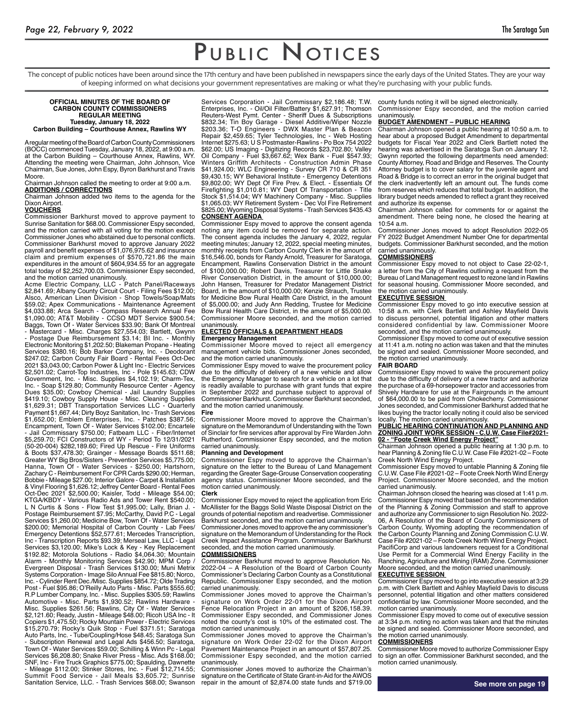The concept of public notices have been around since the 17th century and have been published in newspapers since the early days of the United States. They are your way of keeping informed on what decisions your government representatives are making or what they're purchasing with your public funds.

#### **OFFICIAL MINUTES OF THE BOARD OF CARBON COUNTY COMMISSIONERS REGULAR MEETING Tuesday, January 18, 2022 Carbon Building – Courthouse Annex, Rawlins WY**

A regular meeting of the Board of Carbon County Commissioners (BOCC) commenced Tuesday, January 18, 2022, at 9:00 a.m. at the Carbon Building – Courthouse Annex, Rawlins, WY. Attending the meeting were Chairman, John Johnson, Vice Chairman, Sue Jones, John Espy, Byron Barkhurst and Travis Moore.

Chairman Johnson called the meeting to order at 9:00 a.m. **ADDITIONS / CORRECTIONS**

Chairman Johnson added two items to the agenda for the Dixon Airport.

#### **VOUCHERS**

Commissioner Barkhurst moved to approve payment to Sunrise Sanitation for \$68.00. Commissioner Espy seconded, and the motion carried with all voting for the motion except Commissioner Jones who abstained due to personal conflicts. Commissioner Barkhurst moved to approve January 2022 payroll and benefit expenses of \$1,076,975.62 and insurance claim and premium expenses of \$570,721.86 the main expenditures in the amount of \$604,934.55 for an aggregate total today of \$2,252,700.03. Commissioner Espy seconded, and the motion carried unanimously.

Acme Electric Company, LLC - Patch Panel/Raceways \$2,841.69; Albany County Circuit Court - Filing Fees \$12.00; Alsco, American Linen Division - Shop Towels/Soap/Mats \$59.02; Apex Communications - Maintenance Agreement \$4,033.88; Arca Search - Compass Research Annual Fee \$1,090.00; AT&T Mobility - CCSO MDT Service \$900.54; Baggs, Town Of - Water Services \$33.90; Bank Of Montreal Mastercard - Misc. Charges \$27,554.03; Bartlett, Gwynn Postage Due Reimbursement \$3.14; BI Inc. - Monthly Electronic Monitoring \$1,202.50; Blakeman Propane - Heating Services \$380.16; Bob Barker Company, Inc. - Deodorant \$247.02; Carbon County Fair Board - Rental Fees Oct-Dec 2021 \$3,043.00; Carbon Power & Light Inc - Electric Services \$2,501.02; Carrot-Top Industries, Inc - Pole \$145.63; CDW Government, Inc. - Misc. Supplies \$4,102.19; Charm-Tex, Inc. - Soap \$129.80; Community Resource Center - Agency Dues \$35.00; Cowboy Chemical - Jail Laundry Supplies \$419.10; Cowboy Supply House - Misc. Cleaning Supplies \$1,629.31; DBT Transportation Services LLC - Quarterly Payment \$1,667.44; Dirty Boyz Sanitation, Inc - Trash Services \$1,652.00; Emblem Enterprises, Inc. - Patches \$387.56; Encampment, Town Of - Water Services \$102.00; Encartele - Jail Commissary \$750.00; Fatbeam LLC - Fiber/Internet \$5,259.70; FCI Constructors of WY - Period To 12/31/2021 (50-20-004) \$282,189.60; Fired Up Rescue - Fire Uniforms & Boots \$37,478.30; Grainger - Message Boards \$511.68; Greater WY Big Bros/Sisters - Prevention Services \$5,775.00; Hanna, Town Of - Water Services - \$250.00; Hartshorn, Zachary C - Reimbursement For CPR Cards \$290.00; Herman, Bobbie - Mileage \$27.00; Interior Galore - Carpet & Installation & Vinyl Flooring \$1,626.12; Jeffrey Center Board - Rental Fees Oct-Dec 2021 \$2,500.00; Kaisler, Todd - Mileage \$54.00; KTGA/KBDY - Various Radio Ads and Tower Rent \$540.00; L N Curtis & Sons - Flow Test \$1,995.00; Lally, Brian J. - Postage Reimbursement \$7.95; McCarthy, David P.C - Legal Services \$1,260.00; Medicine Bow, Town Of - Water Services \$200.00; Memorial Hospital of Carbon County - Lab Fees/ Emergency Detentions \$52,577.61; Mercedes Transcription, Inc - Transcription Reports \$93.39; Merseal Law, LLC - Legal Services \$3,120.00; Mike's Lock & Key - Key Replacement \$192.82; Motorola Solutions - Radio \$4,064.30; Mountain Alarm - Monthly Monitoring Services \$42.90; MPM Corp / Evergreen Disposal - Trash Services \$130.00; Muni Metrix Systems Corporation - Image Silo Annual Fee \$815.80; Norco, Inc. - Cylinder Rent Dec./Misc. Supplies \$854.72; Olde Trading Post - Fuel \$95.86; O'Reilly Auto Parts - Misc. Parts \$555.60; R.P Lumber Company, Inc. - Misc. Supplies \$305.59; Rawlins Automotive - Misc. Parts \$1,930.52; Rawlins Hardware - Misc. Supplies \$261.56; Rawlins, City Of - Water Services \$2,121.60; Ready, Justin - Mileage \$48.00; Ricoh USA Inc - It Copiers \$1,475.50; Rocky Mountain Power - Electric Services \$15,270.79; Rocky's Quik Stop - Fuel \$371.51; Saratoga Auto Parts, Inc. - Tube/Coupling/Hose \$48.45; Saratoga Sun Subscription Renewal and Legal Ads \$456.50; Saratoga, Town Of - Water Services \$59.00; Schilling & Winn Pc - Legal Services \$6,208.80; Snake River Press - Misc. Ads \$168.00; SNF, Inc - Fire Truck Graphics \$775.00; Spaulding, Dawnette - Mileage \$112.00; Stinker Stores, Inc. - Fuel \$12,714.55; Summit Food Service - Jail Meals \$3,605.72; Sunrise Sanitation Service, LLC. - Trash Services \$68.00; Swanson

Services Corporation - Jail Commissary \$2,186.48; T.W. Enterprises, Inc. - Oil/Oil Filter/Battery \$1,627.91; Thomson Reuters-West Pymt. Center - Sheriff Dues & Subscriptions \$832.34; Tin Boy Garage - Diesel Additive/Wiper Nozzle \$203.36; T-O Engineers - DWX Master Plan & Beacon Repair \$2,459.65; Tyler Technologies, Inc - Web Hosting Internet \$275.63; U S Postmaster-Rawlins - Po Box 754 2022 \$62.00; US Imaging - Digitizing Records \$23,702.80; Valley Oil Company - Fuel \$3,667.62; Wex Bank - Fuel \$547.93; Winters Griffith Architects - Construction Admin Phase \$41,924.00; WLC Engineering - Survey CR 710 & CR 351 \$9,430.15; WY Behavioral Institute - Emergency Detentions \$9,802.00; WY Dept Of Fire Prev. & Elect. - Essentials Of Firefighting \$1,010.81; WY Dept Of Transportation - Title Stock \$1,514.04; WY Machinery Company - Misc. Supplies \$1,065.03; WY Retirement System - Dec Vol Fire Retirement 25.00; Wyoming Disposal Systems - Trash Services \$435.43 **CONSENT AGENDA** 

Commissioner Espy moved to approve the consent agenda noting any item could be removed for separate action. The consent agenda includes the January 4, 2022, regular meeting minutes; January 12, 2022, special meeting minutes, monthly receipts from Carbon County Clerk in the amount of 16,546.00, bonds for Randy Arnold, Treasurer for Saratoga, Encampment, Rawlins Conservation District in the amount of \$100,000.00; Robert Davis, Treasurer for Little Snake River Conservation District, in the amount of \$10,000.00; John Hansen, Treasurer for Predator Management District Board, in the amount of \$10,000.00; Kenzie Strauch, Trustee for Medicine Bow Rural Health Care District, in the amount of \$5,000.00; and Judy Ann Redding, Trustee for Medicine Bow Rural Health Care District, in the amount of \$5,000.00. Commissioner Moore seconded, and the motion carried unanimously.

# **ELECTED OFFICIALS & DEPARTMENT HEADS**

# **Emergency Management**

Commissioner Moore moved to reject all emergency management vehicle bids. Commissioner Jones seconded, and the motion carried unanimously.

Commissioner Espy moved to waive the procurement policy due to the difficulty of delivery of a new vehicle and allow the Emergency Manager to search for a vehicle on a lot that is readily available to purchase with grant funds that expire in September 2022 and purchase subject to approval of Commissioner Barkhurst. Commissioner Barkhurst seconded, and the motion carried unanimously.

#### **Fire**

Commissioner Moore moved to approve the Chairman's signature on the Memorandum of Understanding with the Town of Sinclair for fire services after approval by Fire Warden John Rutherford. Commissioner Espy seconded, and the motion carried unanimously.

#### **Planning and Development**

Commissioner Espy moved to approve the Chairman's signature on the letter to the Bureau of Land Management regarding the Greater Sage-Grouse Conservation cooperating agency status. Commissioner Moore seconded, and the motion carried unanimously.

#### **Clerk**

Commissioner Espy moved to reject the application from Eric McAllister for the Baggs Solid Waste Disposal District on the grounds of potential nepotism and readvertise. Commissioner Barkhurst seconded, and the motion carried unanimously. Commissioner Jones moved to approve the any commissioner's signature on the Memorandum of Understanding for the Rock Creek Impact Assistance Program. Commissioner Barkhurst seconded, and the motion carried unanimously.

#### **COMMISSIONERS**

Commissioner Barkhurst moved to approve Resolution No. 2022-04 – A Resolution of the Board of Carbon County Commissioner's Declaring Carbon County as a Constitutional Republic. Commissioner Espy seconded, and the motion carried unanimously.

Commissioner Jones moved to approve the Chairman's signature on Work Order 22-01 for the Dixon Airport Fence Relocation Project in an amount of \$206,158.39. Commissioner Espy seconded, and Commissioner Jones noted the county's cost is 10% of the estimated cost. The motion carried unanimously.

Commissioner Jones moved to approve the Chairman's signature on Work Order 22-02 for the Dixon Airport Pavement Maintenance Project in an amount of \$57,807.25. Commissioner Espy seconded, and the motion carried unanimously.

Commissioner Jones moved to authorize the Chairman's signature on the Certificate of State Grant-in-Aid for the AWOS repair in the amount of \$2,874.00 state funds and \$719.00

county funds noting it will be signed electronically. Commissioner Espy seconded, and the motion carried unanimously.

# **BUDGET AMENDMENT – PUBLIC HEARING**

Chairman Johnson opened a public hearing at 10:50 a.m. to hear about a proposed Budget Amendment to departmental budgets for Fiscal Year 2022 and Clerk Bartlett noted the hearing was advertised in the Saratoga Sun on January 12. Gwynn reported the following departments need amended: County Attorney, Road and Bridge and Reserves. The County Attorney budget is to cover salary for the juvenile agent and Road & Bridge is to correct an error in the original budget that the clerk inadvertently left an amount out. The funds come from reserves which reduces that total budget. In addition, the library budget needs amended to reflect a grant they received and authorize its expense.

Chairman Johnson called for comments for or against the amendment. There being none, he closed the hearing at 10:54 a.m.

Commissioner Jones moved to adopt Resolution 2022-05 FY 2022 Budget Amendment Number One for departmental budgets. Commissioner Barkhurst seconded, and the motion carried unanimously.

#### **COMMISSIONERS**

Commissioner Espy moved to not object to Case 22-02-1, a letter from the City of Rawlins outlining a request from the Bureau of Land Management request to rezone land in Rawlins for seasonal housing. Commissioner Moore seconded, and the motion carried unanimously.

#### **EXECUTIVE SESSION**

Commissioner Espy moved to go into executive session at 10:58 a.m. with Clerk Bartlett and Ashley Mayfield Davis to discuss personnel, potential litigation and other matters considered confidential by law. Commissioner Moore seconded, and the motion carried unanimously.

Commissioner Espy moved to come out of executive session at 11:41 a.m. noting no action was taken and that the minutes be signed and sealed. Commissioner Moore seconded, and the motion carried unanimously. **FAIR BOARD**

#### Commissioner Espy moved to waive the procurement policy due to the difficulty of delivery of a new tractor and authorize the purchase of a 69-horsepower tractor and accessories from Shively Hardware for use at the Fairgrounds in the amount of \$64,000.00 to be paid from Chokecherry. Commissioner Jones seconded, and Commissioner Barkhurst added that he likes buying the tractor locally noting it could also be serviced locally. The motion caried unanimously.

#### **PUBLIC HEARING CONTINUATION AND PLANNING AND ZONING JOINT WORK SESSION - C.U.W. Case File#2021- 02 - "Foote Creek Wind Energy Project"**

Chairman Johnson opened a public hearing at 1:30 p.m. to hear Planning & Zoning file C.U.W. Case File #2021-02 – Foote Creek North Wind Energy Project.

Commissioner Espy moved to untable Planning & Zoning file C.U.W. Case File #2021-02 – Foote Creek North Wind Energy Project. Commissioner Moore seconded, and the motion carried unanimously.

Chairman Johnson closed the hearing was closed at 1:41 p.m. Commissioner Espy moved that based on the recommendation of the Planning & Zoning Commission and staff to approve and authorize any Commissioner to sign Resolution No. 2022- 06, A Resolution of the Board of County Commissioners of Carbon County, Wyoming adopting the recommendation of the Carbon County Planning and Zoning Commission C.U.W. Case File #2021-02 – Foote Creek North Wind Energy Project. PacifiCorp and various landowners request for a Conditional Use Permit for a Commercial Wind Energy Facility in the Ranching, Agriculture and Mining (RAM) Zone. Commissioner Moore seconded, and the motion carried unanimously.

# **EXECUTIVE SESSION**

Commissioner Espy moved to go into executive session at 3:29 p.m. with Clerk Bartlett and Ashley Mayfield Davis to discuss personnel, potential litigation and other matters considered confidential by law. Commissioner Moore seconded, and the motion carried unanimously.

Commissioner Espy moved to come out of executive session at 3:34 p.m. noting no action was taken and that the minutes be signed and sealed. Commissioner Moore seconded, and the motion carried unanimously.

# **COMMISSIONERS**

Commissioner Moore moved to authorize Commissioner Espy to sign an offer. Commissioner Barkhurst seconded, and the motion carried unanimously.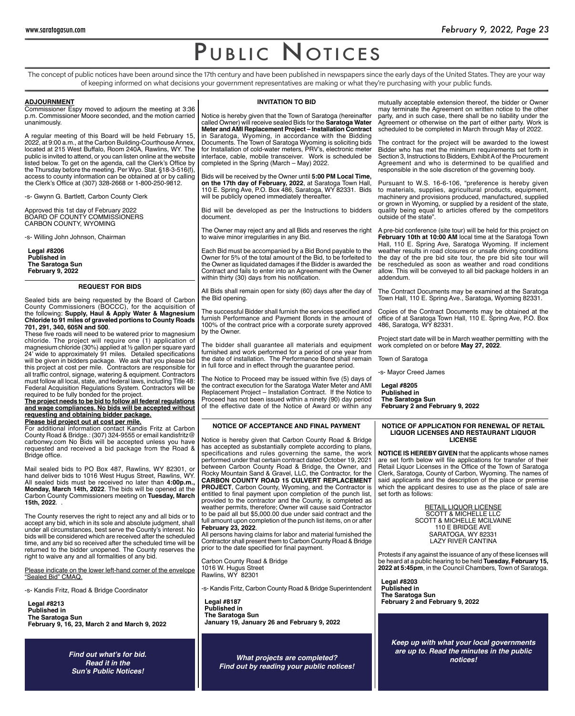The concept of public notices have been around since the 17th century and have been published in newspapers since the early days of the United States. They are your way of keeping informed on what decisions your government representatives are making or what they're purchasing with your public funds.

# **ADJOURNMENT**

Commissioner Espy moved to adjourn the meeting at 3:36 p.m. Commissioner Moore seconded, and the motion carried unanimously.

A regular meeting of this Board will be held February 15, 2022, at 9:00 a.m., at the Carbon Building-Courthouse Annex, located at 215 West Buffalo, Room 240A, Rawlins, WY. The public is invited to attend, or you can listen online at the website listed below. To get on the agenda, call the Clerk's Office by the Thursday before the meeting. Per Wyo. Stat. §18-3-516(f), access to county information can be obtained at or by calling the Clerk's Office at (307) 328-2668 or 1-800-250-9812.

-s- Gwynn G. Bartlett, Carbon County Clerk

Approved this 1st day of February 2022 BOARD OF COUNTY COMMISSIONERS CARBON COUNTY, WYOMING

-s- Willing John Johnson, Chairman

**Legal #8206 Published in The Saratoga Sun February 9, 2022**

# **REQUEST FOR BIDS**

Sealed bids are being requested by the Board of Carbon County Commissioners (BOCCC), for the acquisition of the following: **Supply, Haul & Apply Water & Magnesium Chloride to 91 miles of graveled portions to County Roads 701, 291, 340, 605N and 500**.

These five roads will need to be watered prior to magnesium chloride. The project will require one (1) application of magnesium chloride (30%) applied at ½ gallon per square yard 24' wide to approximately 91 miles. Detailed specifications will be given in bidders package. We ask that you please bid this project at cost per mile. Contractors are responsible for all traffic control, signage, watering & equipment. Contractors must follow all local, state, and federal laws, including Title 48: Federal Acquisition Regulations System. Contractors will be required to be fully bonded for the project.

**The project needs to be bid to follow all federal regulations and wage compliances. No bids will be accepted without requesting and obtaining bidder package.**

**Please bid project out at cost per mile.** For additional information contact Kandis Fritz at Carbon County Road & Bridge.: (307) 324-9555 or email kandisfritz@ carbonwy.com No Bids will be accepted unless you have requested and received a bid package from the Road & Bridge office.

Mail sealed bids to PO Box 487, Rawlins, WY 82301, or hand deliver bids to 1016 West Hugus Street, Rawlins, WY. All sealed bids must be received no later than **4:00p.m., Monday, March 14th, 2022**. The bids will be opened at the Carbon County Commissioners meeting on **Tuesday, March 15th, 2022**. .

The County reserves the right to reject any and all bids or to accept any bid, which in its sole and absolute judgment, shall under all circumstances, best serve the County's interest. No bids will be considered which are received after the scheduled time, and any bid so received after the scheduled time will be returned to the bidder unopened. The County reserves the right to waive any and all formalities of any bid.

Please indicate on the lower left-hand corner of the envelope "Sealed Bid" CMAQ.

-s- Kandis Fritz, Road & Bridge Coordinator

**Legal #8213 Published in The Saratoga Sun February 9, 16, 23, March 2 and March 9, 2022**

> **Find out what's for bid.** *Read it in the*  **Sun's Public Notices!**

### **INVITATION TO BID**

Notice is hereby given that the Town of Saratoga (hereinafter called Owner) will receive sealed Bids for the **Saratoga Water Meter and AMI Replacement Project – Installation Contract**  in Saratoga, Wyoming, in accordance with the Bidding Documents. The Town of Saratoga Wyoming is soliciting bids for Installation of cold-water meters, PRV's, electronic meter interface, cable, mobile transceiver. Work is scheduled be completed in the Spring (March – May) 2022.

Bids will be received by the Owner until **5:00 PM Local Time, on the 17th day of February, 2022**, at Saratoga Town Hall, 110 E. Spring Ave, P.O. Box 486, Saratoga, WY 82331. Bids will be publicly opened immediately thereafter.

Bid will be developed as per the Instructions to bidders document.

The Owner may reject any and all Bids and reserves the right to waive minor irregularities in any Bid.

Each Bid must be accompanied by a Bid Bond payable to the Owner for 5% of the total amount of the Bid, to be forfeited to the Owner as liquidated damages if the Bidder is awarded the Contract and fails to enter into an Agreement with the Owner within thirty (30) days from his notification.

All Bids shall remain open for sixty (60) days after the day of the Bid opening.

The successful Bidder shall furnish the services specified and furnish Performance and Payment Bonds in the amount of 100% of the contract price with a corporate surety approved by the Owner.

The bidder shall guarantee all materials and equipment furnished and work performed for a period of one year from the date of installation. The Performance Bond shall remain in full force and in effect through the guarantee period.

The Notice to Proceed may be issued within five (5) days of the contract execution for the Saratoga Water Meter and AMI Replacement Project – Installation Contract. If the Notice to Proceed has not been issued within a ninety (90) day period of the effective date of the Notice of Award or within any

#### **NOTICE OF ACCEPTANCE AND FINAL PAYMENT**

Notice is hereby given that Carbon County Road & Bridge has accepted as substantially complete according to plans, specifications and rules governing the same, the work performed under that certain contract dated October 19, 2021 between Carbon County Road & Bridge, the Owner, and Rocky Mountain Sand & Gravel, LLC, the Contractor, for the **CARBON COUNTY ROAD 15 CULVERT REPLACEMENT PROJECT**, Carbon County, Wyoming, and the Contractor is entitled to final payment upon completion of the punch list, provided to the contractor and the County, is completed as weather permits, therefore; Owner will cause said Contractor to be paid all but \$5,000.00 due under said contract and the full amount upon completion of the punch list items, on or after **February 23, 2022**.

All persons having claims for labor and material furnished the Contractor shall present them to Carbon County Road & Bridge prior to the date specified for final payment.

Carbon County Road & Bridge 1016 W. Hugus Street Rawlins, WY 82301

-s- Kandis Fritz, Carbon County Road & Bridge Superintendent

**Legal #8187 Published in The Saratoga Sun January 19, January 26 and February 9, 2022**

*What projects are completed?* **Find out by reading your public notices!** mutually acceptable extension thereof, the bidder or Owner may terminate the Agreement on written notice to the other party, and in such case, there shall be no liability under the Agreement or otherwise on the part of either party. Work is scheduled to be completed in March through May of 2022.

The contract for the project will be awarded to the lowest Bidder who has met the minimum requirements set forth in Section 3, Instructions to Bidders, Exhibit A of the Procurement Agreement and who is determined to be qualified and responsible in the sole discretion of the governing body.

Pursuant to W.S. 16-6-106, "preference is hereby given to materials, supplies, agricultural products, equipment, machinery and provisions produced, manufactured, supplied or grown in Wyoming, or supplied by a resident of the state, quality being equal to articles offered by the competitors outside of the state".

A pre-bid conference (site tour) will be held for this project on **February 10th at 10:00 AM** local time at the Saratoga Town Hall, 110 E. Spring Ave, Saratoga Wyoming. If inclement weather results in road closures or unsafe driving conditions the day of the pre bid site tour, the pre bid site tour will be rescheduled as soon as weather and road conditions allow. This will be conveyed to all bid package holders in an addendum.

The Contract Documents may be examined at the Saratoga Town Hall, 110 E. Spring Ave., Saratoga, Wyoming 82331.

Copies of the Contract Documents may be obtained at the office of at Saratoga Town Hall, 110 E. Spring Ave, P.O. Box 486, Saratoga, WY 82331.

Project start date will be in March weather permitting with the work completed on or before **May 27, 2022**.

Town of Saratoga

-s- Mayor Creed James

**Legal #8205 Published in The Saratoga Sun February 2 and February 9, 2022**

#### **NOTICE OF APPLICATION FOR RENEWAL OF RETAIL LIQUOR LICENSES AND RESTAURANT LIQUOR LICENSE**

**NOTICE IS HEREBY GIVEN** that the applicants whose names are set forth below will file applications for transfer of their Retail Liquor Licenses in the Office of the Town of Saratoga Clerk, Saratoga, County of Carbon, Wyoming. The names of said applicants and the description of the place or premise which the applicant desires to use as the place of sale are set forth as follows:

> RETAIL LIQUOR LICENSE SCOTT & MICHELLE LLC SCOTT & MICHELLE MCILVAINE 110 E BRIDGE AVE SARATOGA, WY 82331 LAZY RIVER CANTINA

Protests if any against the issuance of any of these licenses will be heard at a public hearing to be held **Tuesday, February 15, 2022 at 5:45pm**, in the Council Chambers, Town of Saratoga.

**Legal #8203 Published in The Saratoga Sun February 2 and February 9, 2022**

**Keep up with what your local governments**  *are up to. Read the minutes in the public*  **notices!**